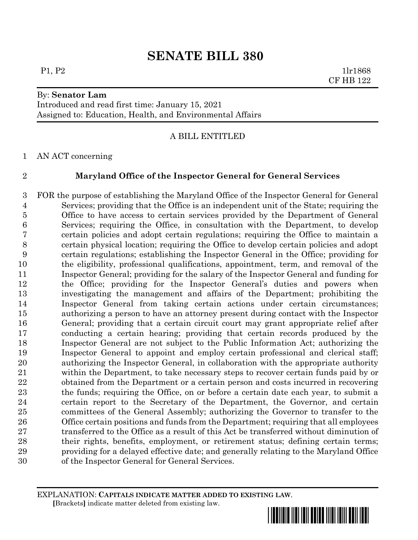# **SENATE BILL 380**

### By: **Senator Lam**

Introduced and read first time: January 15, 2021 Assigned to: Education, Health, and Environmental Affairs

## A BILL ENTITLED

AN ACT concerning

# **Maryland Office of the Inspector General for General Services**

 FOR the purpose of establishing the Maryland Office of the Inspector General for General Services; providing that the Office is an independent unit of the State; requiring the Office to have access to certain services provided by the Department of General Services; requiring the Office, in consultation with the Department, to develop certain policies and adopt certain regulations; requiring the Office to maintain a certain physical location; requiring the Office to develop certain policies and adopt certain regulations; establishing the Inspector General in the Office; providing for the eligibility, professional qualifications, appointment, term, and removal of the Inspector General; providing for the salary of the Inspector General and funding for the Office; providing for the Inspector General's duties and powers when investigating the management and affairs of the Department; prohibiting the Inspector General from taking certain actions under certain circumstances; authorizing a person to have an attorney present during contact with the Inspector General; providing that a certain circuit court may grant appropriate relief after conducting a certain hearing; providing that certain records produced by the Inspector General are not subject to the Public Information Act; authorizing the Inspector General to appoint and employ certain professional and clerical staff; authorizing the Inspector General, in collaboration with the appropriate authority within the Department, to take necessary steps to recover certain funds paid by or obtained from the Department or a certain person and costs incurred in recovering the funds; requiring the Office, on or before a certain date each year, to submit a certain report to the Secretary of the Department, the Governor, and certain committees of the General Assembly; authorizing the Governor to transfer to the Office certain positions and funds from the Department; requiring that all employees 27 transferred to the Office as a result of this Act be transferred without diminution of their rights, benefits, employment, or retirement status; defining certain terms; providing for a delayed effective date; and generally relating to the Maryland Office of the Inspector General for General Services.

#### EXPLANATION: **CAPITALS INDICATE MATTER ADDED TO EXISTING LAW**.  **[**Brackets**]** indicate matter deleted from existing law.



P1, P2 1lr1868 CF HB 122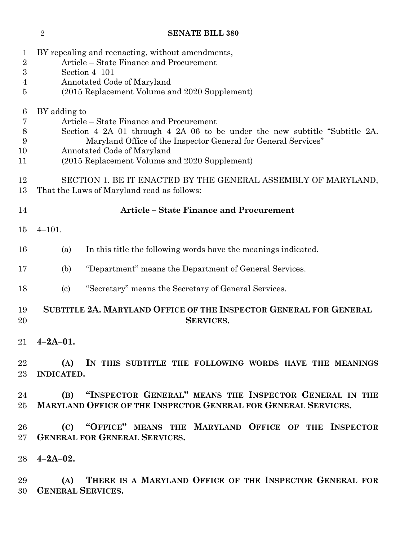# **SENATE BILL 380**

| 1<br>$\sqrt{2}$<br>3<br>4<br>$\overline{5}$ |                                                                                                                                                                                                                                                                                            | BY repealing and reenacting, without amendments,<br>Article – State Finance and Procurement<br>Section 4-101<br>Annotated Code of Maryland<br>(2015 Replacement Volume and 2020 Supplement) |
|---------------------------------------------|--------------------------------------------------------------------------------------------------------------------------------------------------------------------------------------------------------------------------------------------------------------------------------------------|---------------------------------------------------------------------------------------------------------------------------------------------------------------------------------------------|
| 6<br>7<br>$8\,$<br>9<br>10<br>11            | BY adding to<br>Article – State Finance and Procurement<br>Section $4-2A-01$ through $4-2A-06$ to be under the new subtitle "Subtitle 2A.<br>Maryland Office of the Inspector General for General Services"<br>Annotated Code of Maryland<br>(2015 Replacement Volume and 2020 Supplement) |                                                                                                                                                                                             |
| 12<br>13                                    | SECTION 1. BE IT ENACTED BY THE GENERAL ASSEMBLY OF MARYLAND,<br>That the Laws of Maryland read as follows:                                                                                                                                                                                |                                                                                                                                                                                             |
| 14                                          | <b>Article - State Finance and Procurement</b>                                                                                                                                                                                                                                             |                                                                                                                                                                                             |
| 15                                          | $4 - 101.$                                                                                                                                                                                                                                                                                 |                                                                                                                                                                                             |
| 16                                          | (a)                                                                                                                                                                                                                                                                                        | In this title the following words have the meanings indicated.                                                                                                                              |
| 17                                          | (b)                                                                                                                                                                                                                                                                                        | "Department" means the Department of General Services.                                                                                                                                      |
| 18                                          | $\left( \mathrm{c}\right)$                                                                                                                                                                                                                                                                 | "Secretary" means the Secretary of General Services.                                                                                                                                        |
| 19<br>20                                    |                                                                                                                                                                                                                                                                                            | SUBTITLE 2A. MARYLAND OFFICE OF THE INSPECTOR GENERAL FOR GENERAL<br><b>SERVICES.</b>                                                                                                       |
| 21                                          | $4 - 2A - 01.$                                                                                                                                                                                                                                                                             |                                                                                                                                                                                             |
| 22<br>23                                    | (A)<br><b>INDICATED.</b>                                                                                                                                                                                                                                                                   | IN THIS SUBTITLE THE FOLLOWING WORDS HAVE THE MEANINGS                                                                                                                                      |
| 24<br>25 <sub>1</sub>                       |                                                                                                                                                                                                                                                                                            | (B) "INSPECTOR GENERAL" MEANS THE INSPECTOR GENERAL IN THE<br><b>MARYLAND OFFICE OF THE INSPECTOR GENERAL FOR GENERAL SERVICES.</b>                                                         |
| 26<br>27 <sub>2</sub>                       |                                                                                                                                                                                                                                                                                            | (C) "OFFICE" MEANS THE MARYLAND OFFICE OF THE INSPECTOR<br><b>GENERAL FOR GENERAL SERVICES.</b>                                                                                             |
| 28                                          | $4 - 2A - 02$ .                                                                                                                                                                                                                                                                            |                                                                                                                                                                                             |
| 29<br>30                                    |                                                                                                                                                                                                                                                                                            | (A) THERE IS A MARYLAND OFFICE OF THE INSPECTOR GENERAL FOR<br><b>GENERAL SERVICES.</b>                                                                                                     |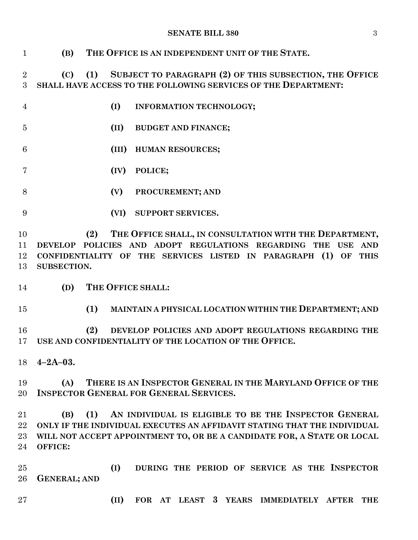#### **SENATE BILL 380** 3

 **(B) THE OFFICE IS AN INDEPENDENT UNIT OF THE STATE. (C) (1) SUBJECT TO PARAGRAPH (2) OF THIS SUBSECTION, THE OFFICE SHALL HAVE ACCESS TO THE FOLLOWING SERVICES OF THE DEPARTMENT: (I) INFORMATION TECHNOLOGY; (II) BUDGET AND FINANCE; (III) HUMAN RESOURCES; (IV) POLICE; (V) PROCUREMENT; AND (VI) SUPPORT SERVICES. (2) THE OFFICE SHALL, IN CONSULTATION WITH THE DEPARTMENT, DEVELOP POLICIES AND ADOPT REGULATIONS REGARDING THE USE AND CONFIDENTIALITY OF THE SERVICES LISTED IN PARAGRAPH (1) OF THIS SUBSECTION. (D) THE OFFICE SHALL: (1) MAINTAIN A PHYSICAL LOCATION WITHIN THE DEPARTMENT; AND (2) DEVELOP POLICIES AND ADOPT REGULATIONS REGARDING THE USE AND CONFIDENTIALITY OF THE LOCATION OF THE OFFICE. 4–2A–03. (A) THERE IS AN INSPECTOR GENERAL IN THE MARYLAND OFFICE OF THE INSPECTOR GENERAL FOR GENERAL SERVICES. (B) (1) AN INDIVIDUAL IS ELIGIBLE TO BE THE INSPECTOR GENERAL ONLY IF THE INDIVIDUAL EXECUTES AN AFFIDAVIT STATING THAT THE INDIVIDUAL WILL NOT ACCEPT APPOINTMENT TO, OR BE A CANDIDATE FOR, A STATE OR LOCAL OFFICE: (I) DURING THE PERIOD OF SERVICE AS THE INSPECTOR GENERAL; AND (II) FOR AT LEAST 3 YEARS IMMEDIATELY AFTER THE**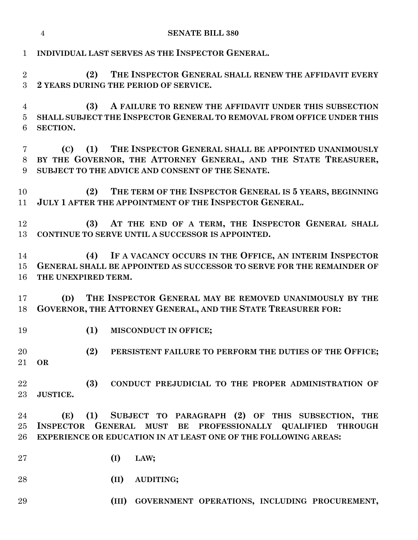|                                       | <b>SENATE BILL 380</b><br>$\overline{4}$                                                                                                                                                                            |
|---------------------------------------|---------------------------------------------------------------------------------------------------------------------------------------------------------------------------------------------------------------------|
| $\mathbf{1}$                          | INDIVIDUAL LAST SERVES AS THE INSPECTOR GENERAL.                                                                                                                                                                    |
| $\overline{2}$<br>3                   | THE INSPECTOR GENERAL SHALL RENEW THE AFFIDAVIT EVERY<br>(2)<br>2 YEARS DURING THE PERIOD OF SERVICE.                                                                                                               |
| $\overline{4}$<br>$\overline{5}$<br>6 | A FAILURE TO RENEW THE AFFIDAVIT UNDER THIS SUBSECTION<br>(3)<br>SHALL SUBJECT THE INSPECTOR GENERAL TO REMOVAL FROM OFFICE UNDER THIS<br><b>SECTION.</b>                                                           |
| 7<br>8<br>9                           | (1) THE INSPECTOR GENERAL SHALL BE APPOINTED UNANIMOUSLY<br>(C)<br>BY THE GOVERNOR, THE ATTORNEY GENERAL, AND THE STATE TREASURER,<br>SUBJECT TO THE ADVICE AND CONSENT OF THE SENATE.                              |
| 10<br>11                              | THE TERM OF THE INSPECTOR GENERAL IS 5 YEARS, BEGINNING<br>(2)<br>JULY 1 AFTER THE APPOINTMENT OF THE INSPECTOR GENERAL.                                                                                            |
| 12<br>13                              | (3) AT THE END OF A TERM, THE INSPECTOR GENERAL SHALL<br>CONTINUE TO SERVE UNTIL A SUCCESSOR IS APPOINTED.                                                                                                          |
| 14<br>15<br>16                        | (4) IF A VACANCY OCCURS IN THE OFFICE, AN INTERIM INSPECTOR<br>GENERAL SHALL BE APPOINTED AS SUCCESSOR TO SERVE FOR THE REMAINDER OF<br>THE UNEXPIRED TERM.                                                         |
| 17<br>18                              | THE INSPECTOR GENERAL MAY BE REMOVED UNANIMOUSLY BY THE<br>(D)<br>GOVERNOR, THE ATTORNEY GENERAL, AND THE STATE TREASURER FOR:                                                                                      |
| 19                                    | (1)<br>MISCONDUCT IN OFFICE;                                                                                                                                                                                        |
| 20<br>21                              | (2)<br>PERSISTENT FAILURE TO PERFORM THE DUTIES OF THE OFFICE;<br><b>OR</b>                                                                                                                                         |
| 22<br>$23\,$                          | (3)<br>CONDUCT PREJUDICIAL TO THE PROPER ADMINISTRATION OF<br><b>JUSTICE.</b>                                                                                                                                       |
| 24<br>$25\,$<br>26                    | (1)<br>SUBJECT TO PARAGRAPH (2) OF THIS SUBSECTION, THE<br>(E)<br>INSPECTOR GENERAL MUST<br>BE PROFESSIONALLY QUALIFIED<br><b>THROUGH</b><br><b>EXPERIENCE OR EDUCATION IN AT LEAST ONE OF THE FOLLOWING AREAS:</b> |
| $27\,$                                | (I)<br>LAW;                                                                                                                                                                                                         |
| 28                                    | (II)<br>AUDITING;                                                                                                                                                                                                   |
| 29                                    | (III)<br>GOVERNMENT OPERATIONS, INCLUDING PROCUREMENT,                                                                                                                                                              |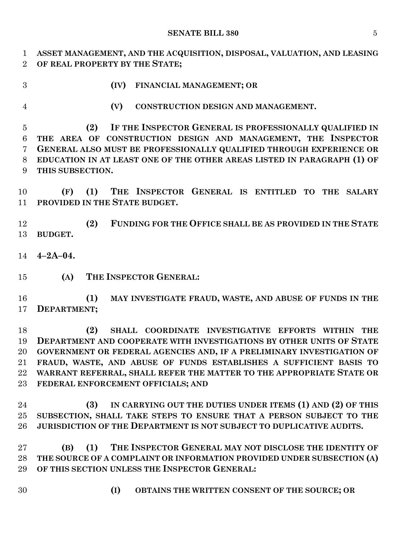#### **SENATE BILL 380** 5

 **ASSET MANAGEMENT, AND THE ACQUISITION, DISPOSAL, VALUATION, AND LEASING OF REAL PROPERTY BY THE STATE;**

**(IV) FINANCIAL MANAGEMENT; OR**

**(V) CONSTRUCTION DESIGN AND MANAGEMENT.**

 **(2) IF THE INSPECTOR GENERAL IS PROFESSIONALLY QUALIFIED IN THE AREA OF CONSTRUCTION DESIGN AND MANAGEMENT, THE INSPECTOR GENERAL ALSO MUST BE PROFESSIONALLY QUALIFIED THROUGH EXPERIENCE OR EDUCATION IN AT LEAST ONE OF THE OTHER AREAS LISTED IN PARAGRAPH (1) OF THIS SUBSECTION.**

 **(F) (1) THE INSPECTOR GENERAL IS ENTITLED TO THE SALARY PROVIDED IN THE STATE BUDGET.**

 **(2) FUNDING FOR THE OFFICE SHALL BE AS PROVIDED IN THE STATE BUDGET.**

**4–2A–04.**

**(A) THE INSPECTOR GENERAL:**

 **(1) MAY INVESTIGATE FRAUD, WASTE, AND ABUSE OF FUNDS IN THE DEPARTMENT;**

 **(2) SHALL COORDINATE INVESTIGATIVE EFFORTS WITHIN THE DEPARTMENT AND COOPERATE WITH INVESTIGATIONS BY OTHER UNITS OF STATE GOVERNMENT OR FEDERAL AGENCIES AND, IF A PRELIMINARY INVESTIGATION OF FRAUD, WASTE, AND ABUSE OF FUNDS ESTABLISHES A SUFFICIENT BASIS TO WARRANT REFERRAL, SHALL REFER THE MATTER TO THE APPROPRIATE STATE OR FEDERAL ENFORCEMENT OFFICIALS; AND**

 **(3) IN CARRYING OUT THE DUTIES UNDER ITEMS (1) AND (2) OF THIS SUBSECTION, SHALL TAKE STEPS TO ENSURE THAT A PERSON SUBJECT TO THE JURISDICTION OF THE DEPARTMENT IS NOT SUBJECT TO DUPLICATIVE AUDITS.**

 **(B) (1) THE INSPECTOR GENERAL MAY NOT DISCLOSE THE IDENTITY OF THE SOURCE OF A COMPLAINT OR INFORMATION PROVIDED UNDER SUBSECTION (A) OF THIS SECTION UNLESS THE INSPECTOR GENERAL:**

- 
- **(I) OBTAINS THE WRITTEN CONSENT OF THE SOURCE; OR**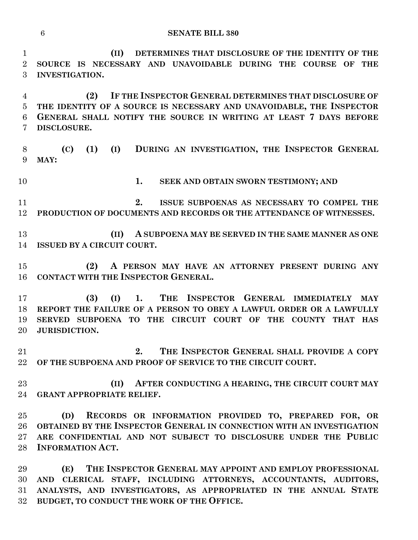**(II) DETERMINES THAT DISCLOSURE OF THE IDENTITY OF THE SOURCE IS NECESSARY AND UNAVOIDABLE DURING THE COURSE OF THE INVESTIGATION.**

 **(2) IF THE INSPECTOR GENERAL DETERMINES THAT DISCLOSURE OF THE IDENTITY OF A SOURCE IS NECESSARY AND UNAVOIDABLE, THE INSPECTOR GENERAL SHALL NOTIFY THE SOURCE IN WRITING AT LEAST 7 DAYS BEFORE DISCLOSURE.**

 **(C) (1) (I) DURING AN INVESTIGATION, THE INSPECTOR GENERAL MAY:**

**1. SEEK AND OBTAIN SWORN TESTIMONY; AND**

 **2. ISSUE SUBPOENAS AS NECESSARY TO COMPEL THE PRODUCTION OF DOCUMENTS AND RECORDS OR THE ATTENDANCE OF WITNESSES.**

 **(II) A SUBPOENA MAY BE SERVED IN THE SAME MANNER AS ONE ISSUED BY A CIRCUIT COURT.**

 **(2) A PERSON MAY HAVE AN ATTORNEY PRESENT DURING ANY CONTACT WITH THE INSPECTOR GENERAL.**

 **(3) (I) 1. THE INSPECTOR GENERAL IMMEDIATELY MAY REPORT THE FAILURE OF A PERSON TO OBEY A LAWFUL ORDER OR A LAWFULLY SERVED SUBPOENA TO THE CIRCUIT COURT OF THE COUNTY THAT HAS JURISDICTION.**

 **2. THE INSPECTOR GENERAL SHALL PROVIDE A COPY OF THE SUBPOENA AND PROOF OF SERVICE TO THE CIRCUIT COURT.**

 **(II) AFTER CONDUCTING A HEARING, THE CIRCUIT COURT MAY GRANT APPROPRIATE RELIEF.**

 **(D) RECORDS OR INFORMATION PROVIDED TO, PREPARED FOR, OR OBTAINED BY THE INSPECTOR GENERAL IN CONNECTION WITH AN INVESTIGATION ARE CONFIDENTIAL AND NOT SUBJECT TO DISCLOSURE UNDER THE PUBLIC INFORMATION ACT.**

 **(E) THE INSPECTOR GENERAL MAY APPOINT AND EMPLOY PROFESSIONAL AND CLERICAL STAFF, INCLUDING ATTORNEYS, ACCOUNTANTS, AUDITORS, ANALYSTS, AND INVESTIGATORS, AS APPROPRIATED IN THE ANNUAL STATE BUDGET, TO CONDUCT THE WORK OF THE OFFICE.**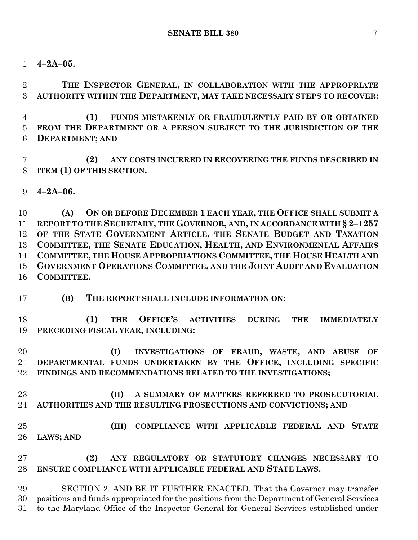**4–2A–05.**

 **THE INSPECTOR GENERAL, IN COLLABORATION WITH THE APPROPRIATE AUTHORITY WITHIN THE DEPARTMENT, MAY TAKE NECESSARY STEPS TO RECOVER:**

 **(1) FUNDS MISTAKENLY OR FRAUDULENTLY PAID BY OR OBTAINED FROM THE DEPARTMENT OR A PERSON SUBJECT TO THE JURISDICTION OF THE DEPARTMENT; AND**

 **(2) ANY COSTS INCURRED IN RECOVERING THE FUNDS DESCRIBED IN ITEM (1) OF THIS SECTION.**

**4–2A–06.**

 **(A) ON OR BEFORE DECEMBER 1 EACH YEAR, THE OFFICE SHALL SUBMIT A REPORT TO THE SECRETARY, THE GOVERNOR, AND, IN ACCORDANCE WITH § 2–1257 OF THE STATE GOVERNMENT ARTICLE, THE SENATE BUDGET AND TAXATION COMMITTEE, THE SENATE EDUCATION, HEALTH, AND ENVIRONMENTAL AFFAIRS COMMITTEE, THE HOUSE APPROPRIATIONS COMMITTEE, THE HOUSE HEALTH AND GOVERNMENT OPERATIONS COMMITTEE, AND THE JOINT AUDIT AND EVALUATION COMMITTEE.**

**(B) THE REPORT SHALL INCLUDE INFORMATION ON:**

 **(1) THE OFFICE'S ACTIVITIES DURING THE IMMEDIATELY PRECEDING FISCAL YEAR, INCLUDING:**

 **(I) INVESTIGATIONS OF FRAUD, WASTE, AND ABUSE OF DEPARTMENTAL FUNDS UNDERTAKEN BY THE OFFICE, INCLUDING SPECIFIC FINDINGS AND RECOMMENDATIONS RELATED TO THE INVESTIGATIONS;**

- **(II) A SUMMARY OF MATTERS REFERRED TO PROSECUTORIAL AUTHORITIES AND THE RESULTING PROSECUTIONS AND CONVICTIONS; AND**
- **(III) COMPLIANCE WITH APPLICABLE FEDERAL AND STATE LAWS; AND**

 **(2) ANY REGULATORY OR STATUTORY CHANGES NECESSARY TO ENSURE COMPLIANCE WITH APPLICABLE FEDERAL AND STATE LAWS.**

 SECTION 2. AND BE IT FURTHER ENACTED, That the Governor may transfer positions and funds appropriated for the positions from the Department of General Services to the Maryland Office of the Inspector General for General Services established under